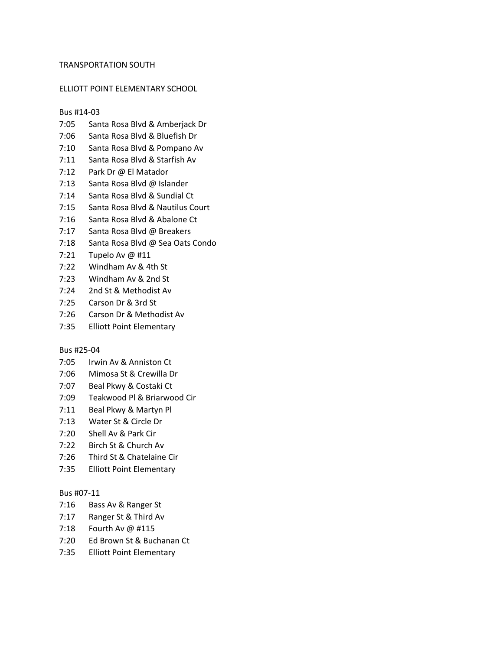## TRANSPORTATION SOUTH

## ELLIOTT POINT ELEMENTARY SCHOOL

### Bus #14-03

- 7:05 Santa Rosa Blvd & Amberjack Dr
- 7:06 Santa Rosa Blvd & Bluefish Dr
- 7:10 Santa Rosa Blvd & Pompano Av
- 7:11 Santa Rosa Blvd & Starfish Av
- 7:12 Park Dr @ El Matador
- 7:13 Santa Rosa Blvd @ Islander
- 7:14 Santa Rosa Blvd & Sundial Ct
- 7:15 Santa Rosa Blvd & Nautilus Court
- 7:16 Santa Rosa Blvd & Abalone Ct
- 7:17 Santa Rosa Blvd @ Breakers
- 7:18 Santa Rosa Blvd @ Sea Oats Condo
- 7:21 Tupelo Av @ #11
- 7:22 Windham Av & 4th St
- 7:23 Windham Av & 2nd St
- 7:24 2nd St & Methodist Av
- 7:25 Carson Dr & 3rd St
- 7:26 Carson Dr & Methodist Av
- 7:35 Elliott Point Elementary

#### Bus #25-04

- 7:05 Irwin Av & Anniston Ct
- 7:06 Mimosa St & Crewilla Dr
- 7:07 Beal Pkwy & Costaki Ct
- 7:09 Teakwood Pl & Briarwood Cir
- 7:11 Beal Pkwy & Martyn Pl
- 7:13 Water St & Circle Dr
- 7:20 Shell Av & Park Cir
- 7:22 Birch St & Church Av
- 7:26 Third St & Chatelaine Cir
- 7:35 Elliott Point Elementary

# Bus #07-11

- 7:16 Bass Av & Ranger St
- 7:17 Ranger St & Third Av
- 7:18 Fourth Av @ #115
- 7:20 Ed Brown St & Buchanan Ct
- 7:35 Elliott Point Elementary